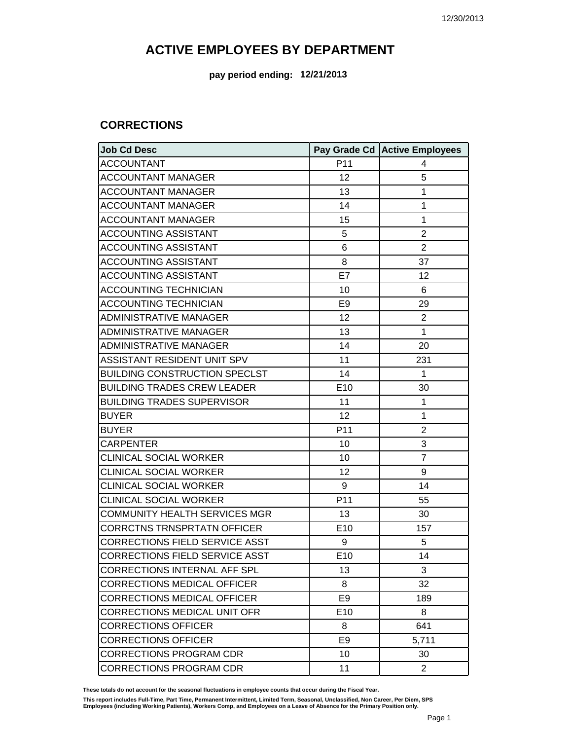**pay period ending: 12/21/2013**

#### **CORRECTIONS**

| <b>Job Cd Desc</b>                    |                 | Pay Grade Cd Active Employees |
|---------------------------------------|-----------------|-------------------------------|
| <b>ACCOUNTANT</b>                     | P11             | 4                             |
| <b>ACCOUNTANT MANAGER</b>             | 12              | 5                             |
| <b>ACCOUNTANT MANAGER</b>             | 13              | 1                             |
| <b>ACCOUNTANT MANAGER</b>             | 14              | 1                             |
| <b>ACCOUNTANT MANAGER</b>             | 15              | 1                             |
| <b>ACCOUNTING ASSISTANT</b>           | 5               | $\overline{2}$                |
| <b>ACCOUNTING ASSISTANT</b>           | 6               | $\overline{2}$                |
| <b>ACCOUNTING ASSISTANT</b>           | 8               | 37                            |
| <b>ACCOUNTING ASSISTANT</b>           | E7              | 12                            |
| <b>ACCOUNTING TECHNICIAN</b>          | 10              | 6                             |
| <b>ACCOUNTING TECHNICIAN</b>          | E <sub>9</sub>  | 29                            |
| <b>ADMINISTRATIVE MANAGER</b>         | 12              | $\overline{2}$                |
| <b>ADMINISTRATIVE MANAGER</b>         | 13              | 1                             |
| <b>ADMINISTRATIVE MANAGER</b>         | 14              | 20                            |
| <b>ASSISTANT RESIDENT UNIT SPV</b>    | 11              | 231                           |
| <b>BUILDING CONSTRUCTION SPECLST</b>  | 14              | 1                             |
| <b>BUILDING TRADES CREW LEADER</b>    | E10             | 30                            |
| <b>BUILDING TRADES SUPERVISOR</b>     | 11              | 1                             |
| <b>BUYER</b>                          | 12              | 1                             |
| <b>BUYER</b>                          | P <sub>11</sub> | $\overline{2}$                |
| <b>CARPENTER</b>                      | 10              | 3                             |
| <b>CLINICAL SOCIAL WORKER</b>         | 10              | $\overline{7}$                |
| <b>CLINICAL SOCIAL WORKER</b>         | 12              | 9                             |
| <b>CLINICAL SOCIAL WORKER</b>         | 9               | 14                            |
| <b>CLINICAL SOCIAL WORKER</b>         | P11             | 55                            |
| <b>COMMUNITY HEALTH SERVICES MGR</b>  | 13              | 30                            |
| <b>CORRCTNS TRNSPRTATN OFFICER</b>    | E10             | 157                           |
| <b>CORRECTIONS FIELD SERVICE ASST</b> | 9               | 5                             |
| <b>CORRECTIONS FIELD SERVICE ASST</b> | E10             | 14                            |
| <b>CORRECTIONS INTERNAL AFF SPL</b>   | 13              | 3                             |
| <b>CORRECTIONS MEDICAL OFFICER</b>    | 8               | 32                            |
| <b>CORRECTIONS MEDICAL OFFICER</b>    | E <sub>9</sub>  | 189                           |
| <b>CORRECTIONS MEDICAL UNIT OFR</b>   | E <sub>10</sub> | 8                             |
| <b>CORRECTIONS OFFICER</b>            | 8               | 641                           |
| <b>CORRECTIONS OFFICER</b>            | E9              | 5,711                         |
| <b>CORRECTIONS PROGRAM CDR</b>        | 10              | 30                            |
| <b>CORRECTIONS PROGRAM CDR</b>        | 11              | $\overline{2}$                |

**These totals do not account for the seasonal fluctuations in employee counts that occur during the Fiscal Year.**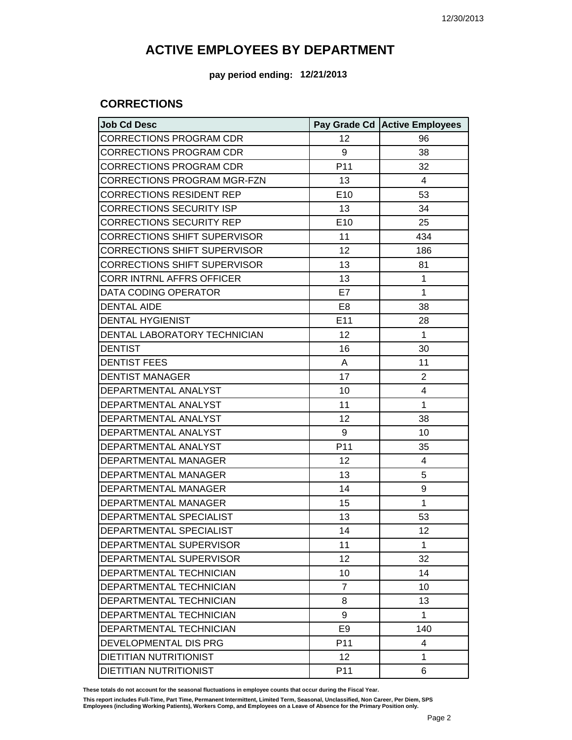**pay period ending: 12/21/2013**

### **CORRECTIONS**

| <b>Job Cd Desc</b>                  |                 | Pay Grade Cd   Active Employees |
|-------------------------------------|-----------------|---------------------------------|
| <b>CORRECTIONS PROGRAM CDR</b>      | 12              | 96                              |
| <b>CORRECTIONS PROGRAM CDR</b>      | 9               | 38                              |
| <b>CORRECTIONS PROGRAM CDR</b>      | P <sub>11</sub> | 32                              |
| <b>CORRECTIONS PROGRAM MGR-FZN</b>  | 13              | 4                               |
| <b>CORRECTIONS RESIDENT REP</b>     | E10             | 53                              |
| <b>CORRECTIONS SECURITY ISP</b>     | 13              | 34                              |
| <b>CORRECTIONS SECURITY REP</b>     | E10             | 25                              |
| <b>CORRECTIONS SHIFT SUPERVISOR</b> | 11              | 434                             |
| <b>CORRECTIONS SHIFT SUPERVISOR</b> | 12              | 186                             |
| <b>CORRECTIONS SHIFT SUPERVISOR</b> | 13              | 81                              |
| <b>CORR INTRNL AFFRS OFFICER</b>    | 13              | 1                               |
| DATA CODING OPERATOR                | E7              | 1                               |
| <b>DENTAL AIDE</b>                  | E <sub>8</sub>  | 38                              |
| <b>DENTAL HYGIENIST</b>             | E11             | 28                              |
| DENTAL LABORATORY TECHNICIAN        | 12              | 1                               |
| <b>DENTIST</b>                      | 16              | 30                              |
| <b>DENTIST FEES</b>                 | A               | 11                              |
| <b>DENTIST MANAGER</b>              | 17              | $\overline{c}$                  |
| DEPARTMENTAL ANALYST                | 10              | 4                               |
| DEPARTMENTAL ANALYST                | 11              | 1                               |
| DEPARTMENTAL ANALYST                | 12              | 38                              |
| DEPARTMENTAL ANALYST                | 9               | 10                              |
| DEPARTMENTAL ANALYST                | P <sub>11</sub> | 35                              |
| DEPARTMENTAL MANAGER                | 12              | 4                               |
| DEPARTMENTAL MANAGER                | 13              | 5                               |
| DEPARTMENTAL MANAGER                | 14              | 9                               |
| <b>DEPARTMENTAL MANAGER</b>         | 15              | 1                               |
| DEPARTMENTAL SPECIALIST             | 13              | 53                              |
| DEPARTMENTAL SPECIALIST             | 14              | 12                              |
| DEPARTMENTAL SUPERVISOR             | 11              | 1                               |
| DEPARTMENTAL SUPERVISOR             | 12              | 32                              |
| DEPARTMENTAL TECHNICIAN             | 10              | 14                              |
| DEPARTMENTAL TECHNICIAN             | $\overline{7}$  | 10                              |
| DEPARTMENTAL TECHNICIAN             | 8               | 13                              |
| DEPARTMENTAL TECHNICIAN             | 9               | 1                               |
| DEPARTMENTAL TECHNICIAN             | E <sub>9</sub>  | 140                             |
| DEVELOPMENTAL DIS PRG               | P <sub>11</sub> | 4                               |
| <b>DIETITIAN NUTRITIONIST</b>       | 12              | 1                               |
| DIETITIAN NUTRITIONIST              | P <sub>11</sub> | 6                               |

**These totals do not account for the seasonal fluctuations in employee counts that occur during the Fiscal Year.**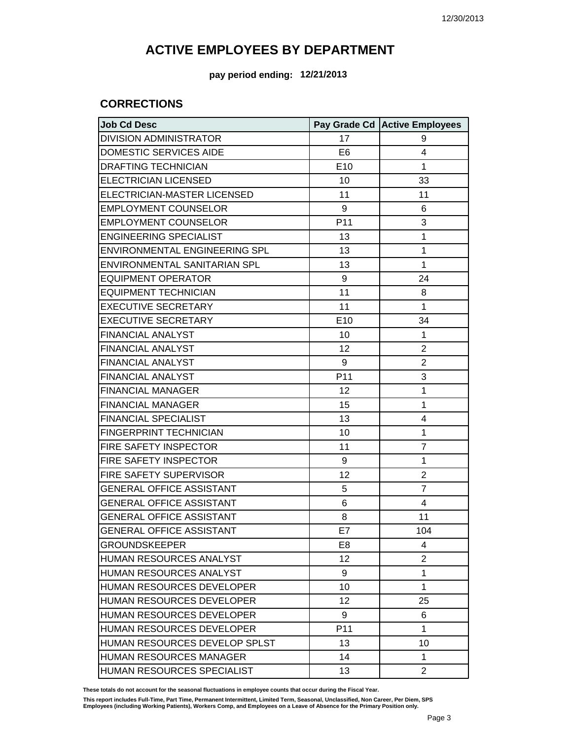**pay period ending: 12/21/2013**

### **CORRECTIONS**

| <b>Job Cd Desc</b>                   |                 | Pay Grade Cd Active Employees |
|--------------------------------------|-----------------|-------------------------------|
| <b>DIVISION ADMINISTRATOR</b>        | 17              | 9                             |
| DOMESTIC SERVICES AIDE               | E <sub>6</sub>  | 4                             |
| <b>DRAFTING TECHNICIAN</b>           | E10             | $\mathbf{1}$                  |
| <b>ELECTRICIAN LICENSED</b>          | 10              | 33                            |
| ELECTRICIAN-MASTER LICENSED          | 11              | 11                            |
| <b>EMPLOYMENT COUNSELOR</b>          | 9               | 6                             |
| <b>EMPLOYMENT COUNSELOR</b>          | P11             | 3                             |
| <b>ENGINEERING SPECIALIST</b>        | 13              | $\mathbf{1}$                  |
| <b>ENVIRONMENTAL ENGINEERING SPL</b> | 13              | 1                             |
| ENVIRONMENTAL SANITARIAN SPL         | 13              | $\mathbf{1}$                  |
| <b>EQUIPMENT OPERATOR</b>            | 9               | 24                            |
| <b>EQUIPMENT TECHNICIAN</b>          | 11              | 8                             |
| <b>EXECUTIVE SECRETARY</b>           | 11              | $\mathbf{1}$                  |
| <b>EXECUTIVE SECRETARY</b>           | E10             | 34                            |
| <b>FINANCIAL ANALYST</b>             | 10              | $\mathbf{1}$                  |
| <b>FINANCIAL ANALYST</b>             | 12              | $\overline{2}$                |
| <b>FINANCIAL ANALYST</b>             | 9               | $\overline{2}$                |
| <b>FINANCIAL ANALYST</b>             | P <sub>11</sub> | 3                             |
| <b>FINANCIAL MANAGER</b>             | 12              | 1                             |
| <b>FINANCIAL MANAGER</b>             | 15              | 1                             |
| <b>FINANCIAL SPECIALIST</b>          | 13              | 4                             |
| <b>FINGERPRINT TECHNICIAN</b>        | 10              | 1                             |
| FIRE SAFETY INSPECTOR                | 11              | $\overline{7}$                |
| FIRE SAFETY INSPECTOR                | 9               | 1                             |
| FIRE SAFETY SUPERVISOR               | 12              | $\overline{2}$                |
| <b>GENERAL OFFICE ASSISTANT</b>      | 5               | $\overline{7}$                |
| <b>GENERAL OFFICE ASSISTANT</b>      | 6               | 4                             |
| <b>GENERAL OFFICE ASSISTANT</b>      | 8               | 11                            |
| <b>GENERAL OFFICE ASSISTANT</b>      | E7              | 104                           |
| <b>GROUNDSKEEPER</b>                 | E <sub>8</sub>  | 4                             |
| HUMAN RESOURCES ANALYST              | 12              | $\overline{2}$                |
| HUMAN RESOURCES ANALYST              | 9               | 1                             |
| HUMAN RESOURCES DEVELOPER            | 10              | $\mathbf{1}$                  |
| <b>HUMAN RESOURCES DEVELOPER</b>     | 12              | 25                            |
| HUMAN RESOURCES DEVELOPER            | 9               | 6                             |
| HUMAN RESOURCES DEVELOPER            | P <sub>11</sub> | $\mathbf{1}$                  |
| HUMAN RESOURCES DEVELOP SPLST        | 13              | 10                            |
| <b>HUMAN RESOURCES MANAGER</b>       | 14              | 1                             |
| HUMAN RESOURCES SPECIALIST           | 13              | $\overline{2}$                |

**These totals do not account for the seasonal fluctuations in employee counts that occur during the Fiscal Year.**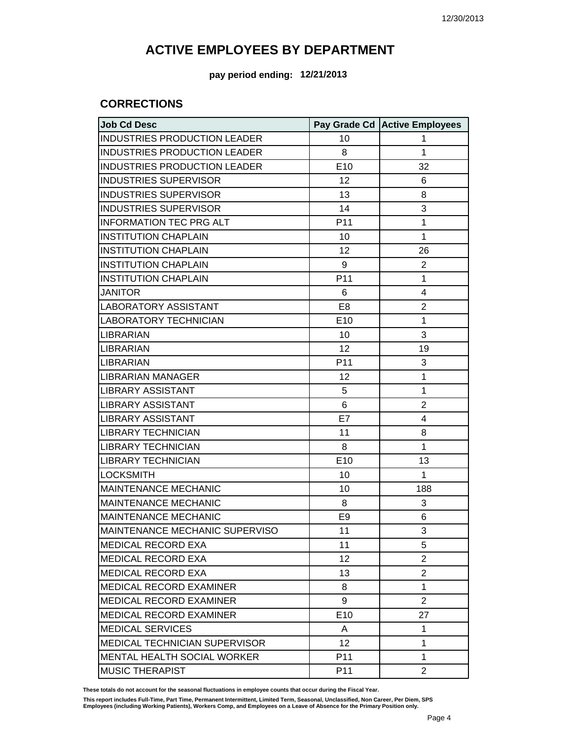**pay period ending: 12/21/2013**

### **CORRECTIONS**

| <b>Job Cd Desc</b>                  |                 | Pay Grade Cd Active Employees |
|-------------------------------------|-----------------|-------------------------------|
| INDUSTRIES PRODUCTION LEADER        | 10              | 1                             |
| <b>INDUSTRIES PRODUCTION LEADER</b> | 8               | 1                             |
| INDUSTRIES PRODUCTION LEADER        | E10             | 32                            |
| <b>INDUSTRIES SUPERVISOR</b>        | 12              | 6                             |
| <b>INDUSTRIES SUPERVISOR</b>        | 13              | 8                             |
| <b>INDUSTRIES SUPERVISOR</b>        | 14              | 3                             |
| <b>INFORMATION TEC PRG ALT</b>      | P <sub>11</sub> | 1                             |
| <b>INSTITUTION CHAPLAIN</b>         | 10              | 1                             |
| <b>INSTITUTION CHAPLAIN</b>         | 12              | 26                            |
| <b>INSTITUTION CHAPLAIN</b>         | 9               | $\overline{2}$                |
| <b>INSTITUTION CHAPLAIN</b>         | P <sub>11</sub> | 1                             |
| <b>JANITOR</b>                      | 6               | 4                             |
| <b>LABORATORY ASSISTANT</b>         | E <sub>8</sub>  | $\overline{c}$                |
| <b>LABORATORY TECHNICIAN</b>        | E <sub>10</sub> | 1                             |
| <b>LIBRARIAN</b>                    | 10              | 3                             |
| LIBRARIAN                           | 12              | 19                            |
| <b>LIBRARIAN</b>                    | P <sub>11</sub> | 3                             |
| <b>LIBRARIAN MANAGER</b>            | 12              | 1                             |
| <b>LIBRARY ASSISTANT</b>            | 5               | 1                             |
| <b>LIBRARY ASSISTANT</b>            | 6               | $\overline{c}$                |
| <b>LIBRARY ASSISTANT</b>            | E7              | 4                             |
| <b>LIBRARY TECHNICIAN</b>           | 11              | 8                             |
| <b>LIBRARY TECHNICIAN</b>           | 8               | 1                             |
| <b>LIBRARY TECHNICIAN</b>           | E10             | 13                            |
| <b>LOCKSMITH</b>                    | 10              | 1                             |
| <b>MAINTENANCE MECHANIC</b>         | 10              | 188                           |
| <b>MAINTENANCE MECHANIC</b>         | 8               | 3                             |
| <b>MAINTENANCE MECHANIC</b>         | E <sub>9</sub>  | 6                             |
| MAINTENANCE MECHANIC SUPERVISO      | 11              | 3                             |
| <b>MEDICAL RECORD EXA</b>           | 11              | 5                             |
| <b>MEDICAL RECORD EXA</b>           | 12              | 2                             |
| <b>MEDICAL RECORD EXA</b>           | 13              | $\overline{c}$                |
| <b>MEDICAL RECORD EXAMINER</b>      | 8               | 1                             |
| MEDICAL RECORD EXAMINER             | 9               | $\overline{2}$                |
| MEDICAL RECORD EXAMINER             | E <sub>10</sub> | 27                            |
| <b>MEDICAL SERVICES</b>             | A               | 1                             |
| MEDICAL TECHNICIAN SUPERVISOR       | 12              | 1                             |
| <b>MENTAL HEALTH SOCIAL WORKER</b>  | P11             | 1                             |
| <b>MUSIC THERAPIST</b>              | P <sub>11</sub> | $\overline{2}$                |

**These totals do not account for the seasonal fluctuations in employee counts that occur during the Fiscal Year.**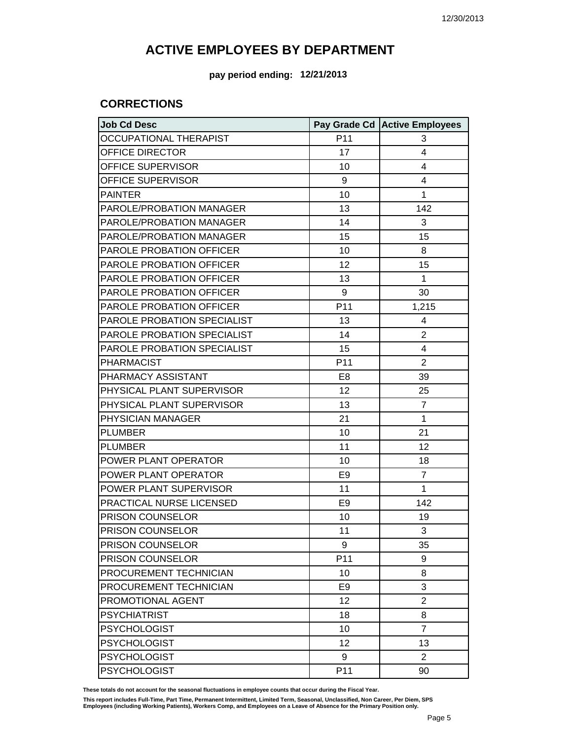**pay period ending: 12/21/2013**

### **CORRECTIONS**

| <b>Job Cd Desc</b>            |                | Pay Grade Cd Active Employees |
|-------------------------------|----------------|-------------------------------|
| <b>OCCUPATIONAL THERAPIST</b> | P11            | 3                             |
| OFFICE DIRECTOR               | 17             | 4                             |
| OFFICE SUPERVISOR             | 10             | 4                             |
| OFFICE SUPERVISOR             | 9              | 4                             |
| <b>PAINTER</b>                | 10             | 1                             |
| PAROLE/PROBATION MANAGER      | 13             | 142                           |
| PAROLE/PROBATION MANAGER      | 14             | 3                             |
| PAROLE/PROBATION MANAGER      | 15             | 15                            |
| PAROLE PROBATION OFFICER      | 10             | 8                             |
| PAROLE PROBATION OFFICER      | 12             | 15                            |
| PAROLE PROBATION OFFICER      | 13             | 1                             |
| PAROLE PROBATION OFFICER      | 9              | 30                            |
| PAROLE PROBATION OFFICER      | P11            | 1,215                         |
| PAROLE PROBATION SPECIALIST   | 13             | 4                             |
| PAROLE PROBATION SPECIALIST   | 14             | $\overline{2}$                |
| PAROLE PROBATION SPECIALIST   | 15             | 4                             |
| <b>PHARMACIST</b>             | P11            | $\overline{2}$                |
| PHARMACY ASSISTANT            | E <sub>8</sub> | 39                            |
| PHYSICAL PLANT SUPERVISOR     | 12             | 25                            |
| PHYSICAL PLANT SUPERVISOR     | 13             | $\overline{7}$                |
| PHYSICIAN MANAGER             | 21             | 1                             |
| <b>PLUMBER</b>                | 10             | 21                            |
| <b>PLUMBER</b>                | 11             | 12                            |
| POWER PLANT OPERATOR          | 10             | 18                            |
| POWER PLANT OPERATOR          | E <sub>9</sub> | $\overline{7}$                |
| POWER PLANT SUPERVISOR        | 11             | 1                             |
| PRACTICAL NURSE LICENSED      | E <sub>9</sub> | 142                           |
| PRISON COUNSELOR              | 10             | 19                            |
| PRISON COUNSELOR              | 11             | 3                             |
| PRISON COUNSELOR              | 9              | 35                            |
| PRISON COUNSELOR              | P11            | 9                             |
| PROCUREMENT TECHNICIAN        | 10             | 8                             |
| PROCUREMENT TECHNICIAN        | E <sub>9</sub> | 3                             |
| PROMOTIONAL AGENT             | 12             | $\overline{2}$                |
| <b>PSYCHIATRIST</b>           | 18             | 8                             |
| <b>PSYCHOLOGIST</b>           | 10             | $\overline{7}$                |
| <b>PSYCHOLOGIST</b>           | 12             | 13                            |
| <b>PSYCHOLOGIST</b>           | 9              | $\overline{2}$                |
| <b>PSYCHOLOGIST</b>           | P11            | 90                            |

**These totals do not account for the seasonal fluctuations in employee counts that occur during the Fiscal Year.**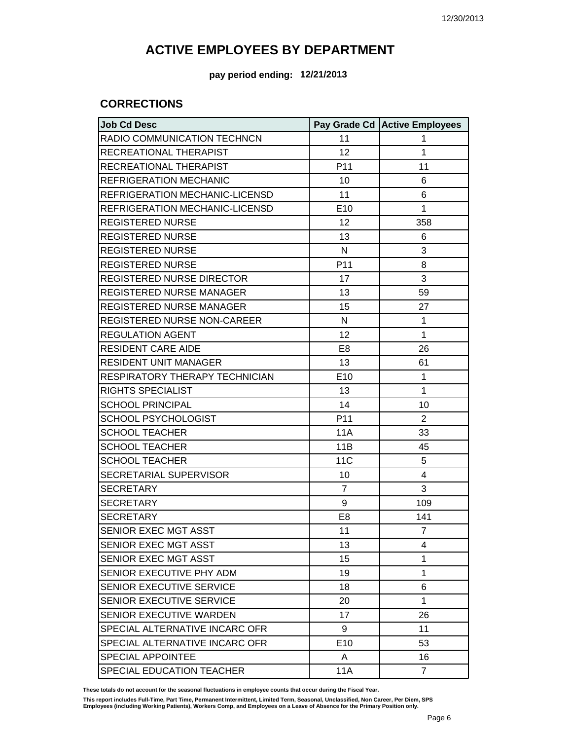**pay period ending: 12/21/2013**

### **CORRECTIONS**

| <b>Job Cd Desc</b>               |                 | Pay Grade Cd Active Employees |
|----------------------------------|-----------------|-------------------------------|
| RADIO COMMUNICATION TECHNCN      | 11              | 1                             |
| RECREATIONAL THERAPIST           | 12              | 1                             |
| RECREATIONAL THERAPIST           | P <sub>11</sub> | 11                            |
| <b>REFRIGERATION MECHANIC</b>    | 10              | 6                             |
| REFRIGERATION MECHANIC-LICENSD   | 11              | 6                             |
| REFRIGERATION MECHANIC-LICENSD   | E10             | 1                             |
| <b>REGISTERED NURSE</b>          | 12              | 358                           |
| <b>REGISTERED NURSE</b>          | 13              | 6                             |
| <b>REGISTERED NURSE</b>          | N               | 3                             |
| <b>REGISTERED NURSE</b>          | P <sub>11</sub> | 8                             |
| <b>REGISTERED NURSE DIRECTOR</b> | 17              | 3                             |
| <b>REGISTERED NURSE MANAGER</b>  | 13              | 59                            |
| REGISTERED NURSE MANAGER         | 15              | 27                            |
| REGISTERED NURSE NON-CAREER      | N               | 1                             |
| <b>REGULATION AGENT</b>          | 12              | 1                             |
| <b>RESIDENT CARE AIDE</b>        | E <sub>8</sub>  | 26                            |
| <b>RESIDENT UNIT MANAGER</b>     | 13              | 61                            |
| RESPIRATORY THERAPY TECHNICIAN   | E10             | 1                             |
| <b>RIGHTS SPECIALIST</b>         | 13              | 1                             |
| <b>SCHOOL PRINCIPAL</b>          | 14              | 10                            |
| <b>SCHOOL PSYCHOLOGIST</b>       | P <sub>11</sub> | $\overline{2}$                |
| <b>SCHOOL TEACHER</b>            | 11A             | 33                            |
| <b>SCHOOL TEACHER</b>            | 11B             | 45                            |
| <b>SCHOOL TEACHER</b>            | 11 <sub>C</sub> | 5                             |
| SECRETARIAL SUPERVISOR           | 10              | 4                             |
| <b>SECRETARY</b>                 | $\overline{7}$  | 3                             |
| <b>SECRETARY</b>                 | 9               | 109                           |
| <b>SECRETARY</b>                 | E <sub>8</sub>  | 141                           |
| SENIOR EXEC MGT ASST             | 11              | $\overline{7}$                |
| SENIOR EXEC MGT ASST             | 13              | 4                             |
| SENIOR EXEC MGT ASST             | 15              | 1                             |
| SENIOR EXECUTIVE PHY ADM         | 19              | 1                             |
| SENIOR EXECUTIVE SERVICE         | 18              | 6                             |
| SENIOR EXECUTIVE SERVICE         | 20              | 1                             |
| SENIOR EXECUTIVE WARDEN          | 17              | 26                            |
| SPECIAL ALTERNATIVE INCARC OFR   | 9               | 11                            |
| SPECIAL ALTERNATIVE INCARC OFR   | E <sub>10</sub> | 53                            |
| <b>SPECIAL APPOINTEE</b>         | A               | 16                            |
| SPECIAL EDUCATION TEACHER        | 11A             | $\overline{7}$                |

**These totals do not account for the seasonal fluctuations in employee counts that occur during the Fiscal Year.**